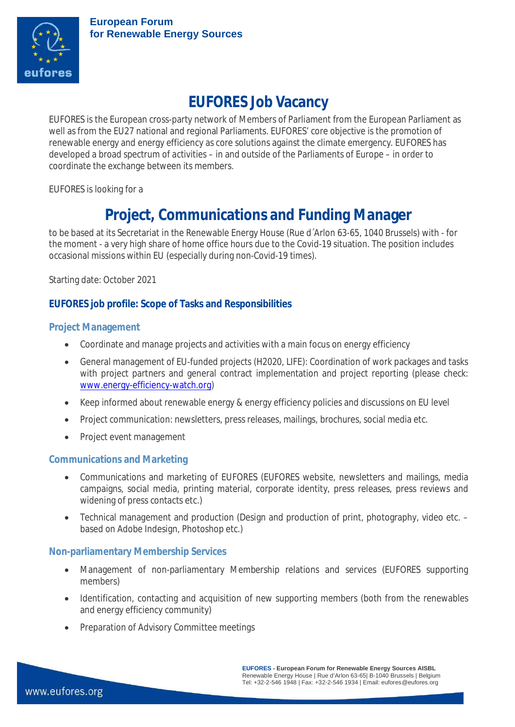

# **EUFORES Job Vacancy**

EUFORES is the European cross-party network of Members of Parliament from the European Parliament as well as from the EU27 national and regional Parliaments. EUFORES' core objective is the promotion of renewable energy and energy efficiency as core solutions against the climate emergency. EUFORES has developed a broad spectrum of activities – in and outside of the Parliaments of Europe – in order to coordinate the exchange between its members.

EUFORES is looking for a

## **Project, Communications and Funding Manager**

to be based at its Secretariat in the Renewable Energy House (Rue d´Arlon 63-65, 1040 Brussels) with - for the moment - a very high share of home office hours due to the Covid-19 situation. The position includes occasional missions within EU (especially during non-Covid-19 times).

Starting date: October 2021

## **EUFORES job profile: Scope of Tasks and Responsibilities**

#### **Project Management**

- Coordinate and manage projects and activities with a main focus on energy efficiency
- General management of EU-funded projects (H2020, LIFE): Coordination of work packages and tasks with project partners and general contract implementation and project reporting (please check: [www.energy-efficiency-watch.org](http://www.energy-efficiency-watch.org/))
- Keep informed about renewable energy & energy efficiency policies and discussions on EU level
- Project communication: newsletters, press releases, mailings, brochures, social media etc.
- Project event management

#### **Communications and Marketing**

- Communications and marketing of EUFORES (EUFORES website, newsletters and mailings, media campaigns, social media, printing material, corporate identity, press releases, press reviews and widening of press contacts etc.)
- Technical management and production (Design and production of print, photography, video etc. based on Adobe Indesign, Photoshop etc.)

#### **Non-parliamentary Membership Services**

- Management of non-parliamentary Membership relations and services (EUFORES supporting members)
- Identification, contacting and acquisition of new supporting members (both from the renewables and energy efficiency community)
- Preparation of Advisory Committee meetings

**EUFORES - European Forum for Renewable Energy Sources AISBL** Renewable Energy House | Rue d'Arlon 63-65| B-1040 Brussels | Belgium Tel: +32-2-546 1948 | Fax: +32-2-546 1934 | Email: eufores@eufores.org

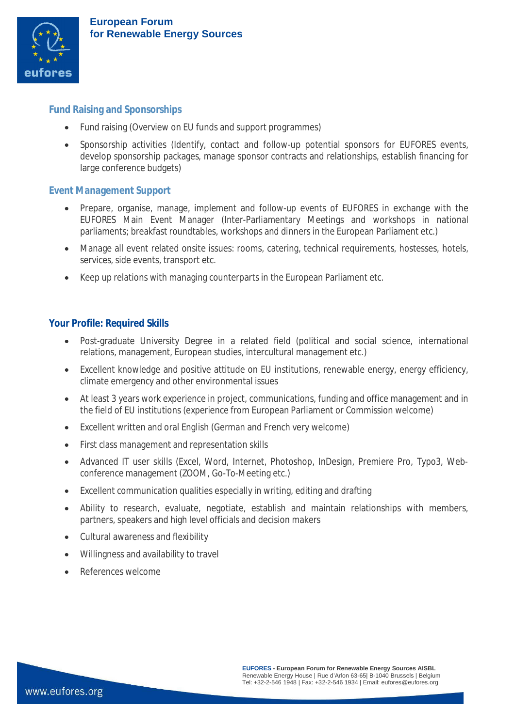

## **Fund Raising and Sponsorships**

- Fund raising (Overview on EU funds and support programmes)
- Sponsorship activities (Identify, contact and follow-up potential sponsors for EUFORES events, develop sponsorship packages, manage sponsor contracts and relationships, establish financing for large conference budgets)

#### **Event Management Support**

- Prepare, organise, manage, implement and follow-up events of EUFORES in exchange with the EUFORES Main Event Manager (Inter-Parliamentary Meetings and workshops in national parliaments; breakfast roundtables, workshops and dinners in the European Parliament etc.)
- Manage all event related onsite issues: rooms, catering, technical requirements, hostesses, hotels, services, side events, transport etc.
- Keep up relations with managing counterparts in the European Parliament etc.

#### **Your Profile: Required Skills**

- Post-graduate University Degree in a related field (political and social science, international relations, management, European studies, intercultural management etc.)
- Excellent knowledge and positive attitude on EU institutions, renewable energy, energy efficiency, climate emergency and other environmental issues
- At least 3 years work experience in project, communications, funding and office management and in the field of EU institutions (experience from European Parliament or Commission welcome)
- Excellent written and oral English (German and French very welcome)
- First class management and representation skills
- Advanced IT user skills (Excel, Word, Internet, Photoshop, InDesign, Premiere Pro, Typo3, Webconference management (ZOOM, Go-To-Meeting etc.)
- Excellent communication qualities especially in writing, editing and drafting
- Ability to research, evaluate, negotiate, establish and maintain relationships with members, partners, speakers and high level officials and decision makers
- Cultural awareness and flexibility
- Willingness and availability to travel
- References welcome